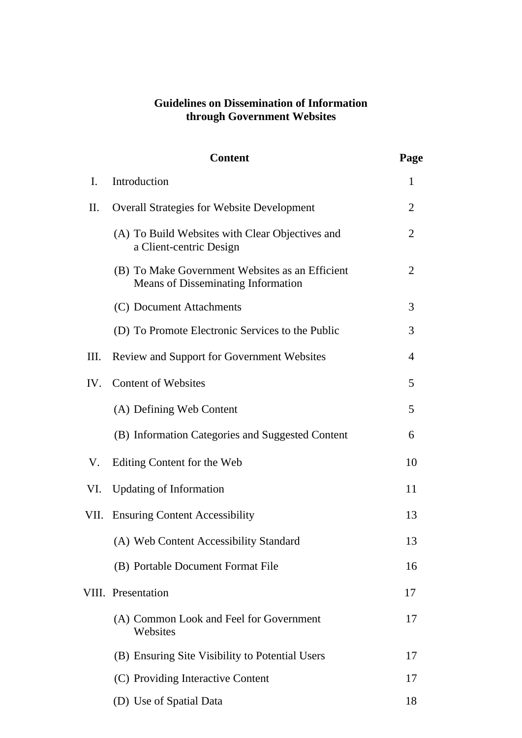## **Guidelines on Dissemination of Information through Government Websites**

|      | <b>Content</b>                                                                        | Page           |
|------|---------------------------------------------------------------------------------------|----------------|
| I.   | Introduction                                                                          | 1              |
| П.   | <b>Overall Strategies for Website Development</b>                                     | 2              |
|      | (A) To Build Websites with Clear Objectives and<br>a Client-centric Design            | 2              |
|      | (B) To Make Government Websites as an Efficient<br>Means of Disseminating Information | $\overline{2}$ |
|      | (C) Document Attachments                                                              | 3              |
|      | (D) To Promote Electronic Services to the Public                                      | 3              |
| Ш.   | Review and Support for Government Websites                                            | 4              |
| IV.  | <b>Content of Websites</b>                                                            | 5              |
|      | (A) Defining Web Content                                                              | 5              |
|      | (B) Information Categories and Suggested Content                                      | 6              |
| V.   | Editing Content for the Web                                                           | 10             |
| VI.  | <b>Updating of Information</b>                                                        | 11             |
| VII. | <b>Ensuring Content Accessibility</b>                                                 | 13             |
|      | (A) Web Content Accessibility Standard                                                | 13             |
|      | (B) Portable Document Format File                                                     | 16             |
|      | VIII. Presentation                                                                    | 17             |
|      | (A) Common Look and Feel for Government<br>Websites                                   | 17             |
|      | (B) Ensuring Site Visibility to Potential Users                                       | 17             |
|      | (C) Providing Interactive Content                                                     | 17             |
|      | (D) Use of Spatial Data                                                               | 18             |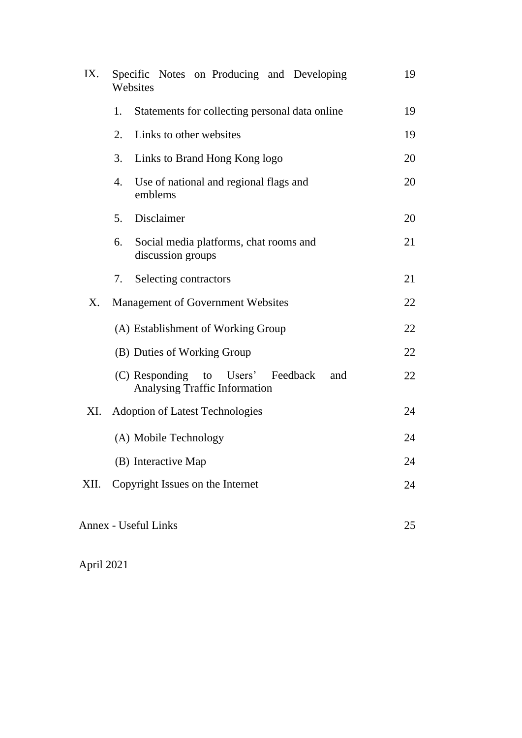| IX.  | Specific Notes on Producing and Developing<br>Websites                           | 19 |
|------|----------------------------------------------------------------------------------|----|
|      | Statements for collecting personal data online<br>1.                             | 19 |
|      | Links to other websites<br>2.                                                    | 19 |
|      | 3.<br>Links to Brand Hong Kong logo                                              | 20 |
|      | Use of national and regional flags and<br>4.<br>emblems                          | 20 |
|      | Disclaimer<br>5.                                                                 | 20 |
|      | Social media platforms, chat rooms and<br>6.<br>discussion groups                | 21 |
|      | Selecting contractors<br>7.                                                      | 21 |
| X.   | <b>Management of Government Websites</b>                                         | 22 |
|      | (A) Establishment of Working Group                                               | 22 |
|      | (B) Duties of Working Group                                                      | 22 |
|      | (C) Responding to Users' Feedback<br>and<br><b>Analysing Traffic Information</b> | 22 |
| XI.  | <b>Adoption of Latest Technologies</b>                                           | 24 |
|      | (A) Mobile Technology                                                            | 24 |
|      | (B) Interactive Map                                                              | 24 |
| XII. | Copyright Issues on the Internet                                                 | 24 |
|      | <b>Annex - Useful Links</b>                                                      | 25 |

April 2021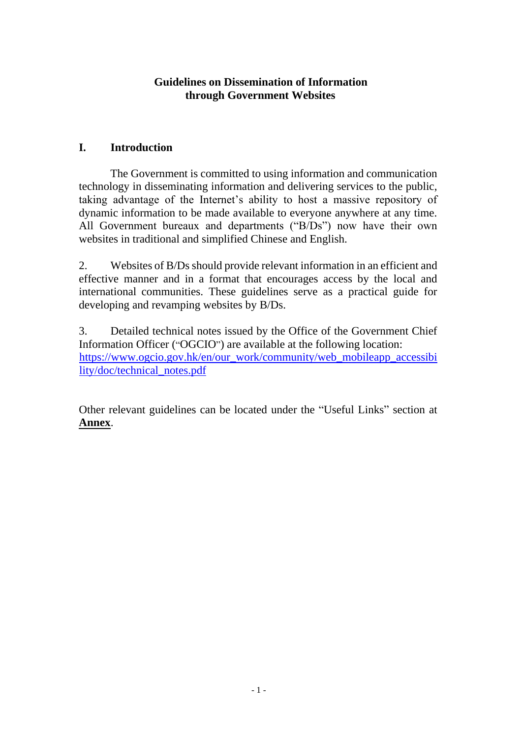### **Guidelines on Dissemination of Information through Government Websites**

### **I. Introduction**

The Government is committed to using information and communication technology in disseminating information and delivering services to the public, taking advantage of the Internet's ability to host a massive repository of dynamic information to be made available to everyone anywhere at any time. All Government bureaux and departments ("B/Ds") now have their own websites in traditional and simplified Chinese and English.

2. Websites of B/Ds should provide relevant information in an efficient and effective manner and in a format that encourages access by the local and international communities. These guidelines serve as a practical guide for developing and revamping websites by B/Ds.

3. Detailed technical notes issued by the Office of the Government Chief Information Officer ("OGCIO") are available at the following location: [https://www.ogcio.gov.hk/en/our\\_work/community/web\\_mobileapp\\_accessibi](https://www.ogcio.gov.hk/en/our_work/community/web_mobileapp_accessibility/doc/technical_notes.pdf) [lity/doc/technical\\_notes.pdf](https://www.ogcio.gov.hk/en/our_work/community/web_mobileapp_accessibility/doc/technical_notes.pdf)

Other relevant guidelines can be located under the "Useful Links" section at **Annex**.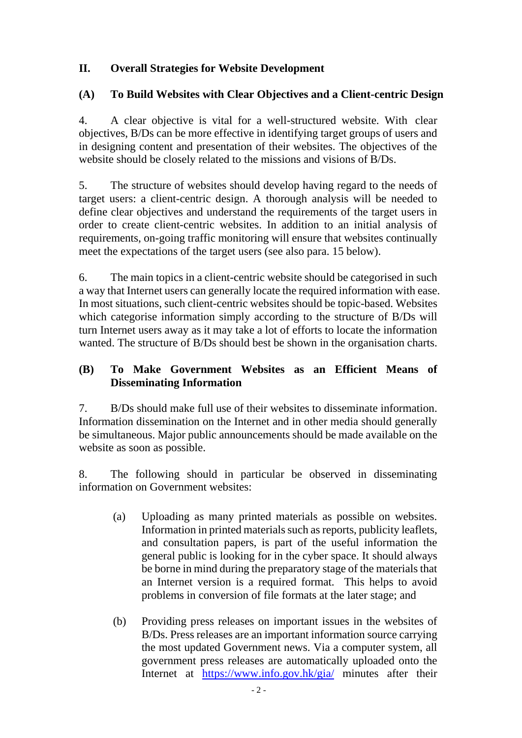## **II. Overall Strategies for Website Development**

### **(A) To Build Websites with Clear Objectives and a Client-centric Design**

4. A clear objective is vital for a well-structured website. With clear objectives, B/Ds can be more effective in identifying target groups of users and in designing content and presentation of their websites. The objectives of the website should be closely related to the missions and visions of B/Ds.

5. The structure of websites should develop having regard to the needs of target users: a client-centric design. A thorough analysis will be needed to define clear objectives and understand the requirements of the target users in order to create client-centric websites. In addition to an initial analysis of requirements, on-going traffic monitoring will ensure that websites continually meet the expectations of the target users (see also para. 15 below).

6. The main topics in a client-centric website should be categorised in such a way that Internet users can generally locate the required information with ease. In most situations, such client-centric websites should be topic-based. Websites which categorise information simply according to the structure of B/Ds will turn Internet users away as it may take a lot of efforts to locate the information wanted. The structure of B/Ds should best be shown in the organisation charts.

### **(B) To Make Government Websites as an Efficient Means of Disseminating Information**

7. B/Ds should make full use of their websites to disseminate information. Information dissemination on the Internet and in other media should generally be simultaneous. Major public announcements should be made available on the website as soon as possible.

8. The following should in particular be observed in disseminating information on Government websites:

- (a) Uploading as many printed materials as possible on websites. Information in printed materials such as reports, publicity leaflets, and consultation papers, is part of the useful information the general public is looking for in the cyber space. It should always be borne in mind during the preparatory stage of the materials that an Internet version is a required format. This helps to avoid problems in conversion of file formats at the later stage; and
- (b) Providing press releases on important issues in the websites of B/Ds. Press releases are an important information source carrying the most updated Government news. Via a computer system, all government press releases are automatically uploaded onto the Internet at <https://www.info.gov.hk/gia/> minutes after their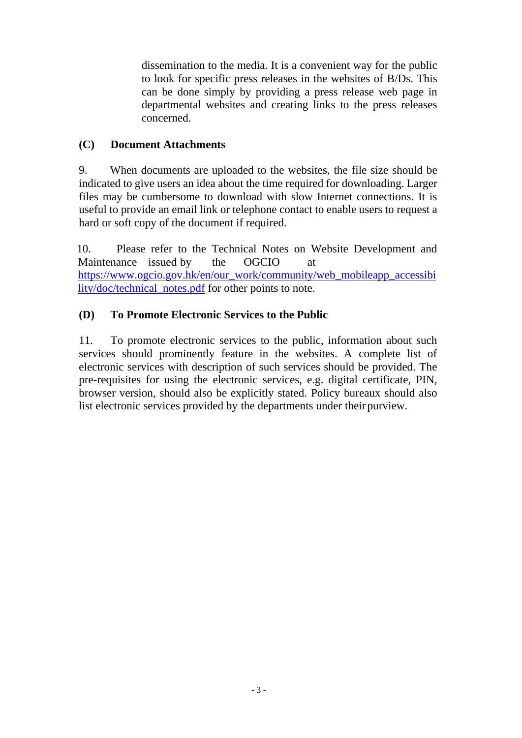dissemination to the media. It is a convenient way for the public to look for specific press releases in the websites of B/Ds. This can be done simply by providing a press release web page in departmental websites and creating links to the press releases concerned.

## **(C) Document Attachments**

9. When documents are uploaded to the websites, the file size should be indicated to give users an idea about the time required for downloading. Larger files may be cumbersome to download with slow Internet connections. It is useful to provide an email link or telephone contact to enable users to request a hard or soft copy of the document if required.

10. Please refer to the Technical Notes on Website Development and Maintenance issued by the OGCIO at [https://www.ogcio.gov.hk/en/our\\_work/community/web\\_mobileapp\\_accessibi](https://www.ogcio.gov.hk/en/our_work/community/web_mobileapp_accessibility/doc/technical_notes.pdf) [lity/doc/technical\\_notes.pdf](https://www.ogcio.gov.hk/en/our_work/community/web_mobileapp_accessibility/doc/technical_notes.pdf) for other points to note.

## **(D) To Promote Electronic Services to the Public**

11. To promote electronic services to the public, information about such services should prominently feature in the websites. A complete list of electronic services with description of such services should be provided. The pre-requisites for using the electronic services, e.g. digital certificate, PIN, browser version, should also be explicitly stated. Policy bureaux should also list electronic services provided by the departments under their purview.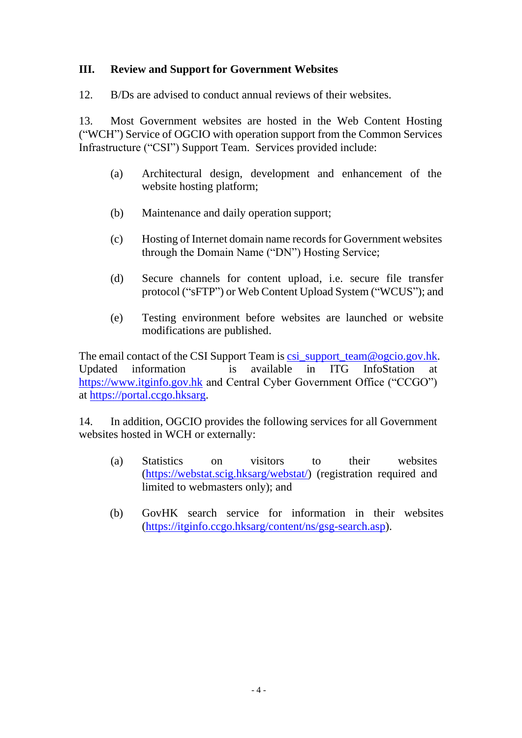### **III. Review and Support for Government Websites**

12. B/Ds are advised to conduct annual reviews of their websites.

13. Most Government websites are hosted in the Web Content Hosting ("WCH") Service of OGCIO with operation support from the Common Services Infrastructure ("CSI") Support Team. Services provided include:

- (a) Architectural design, development and enhancement of the website hosting platform;
- (b) Maintenance and daily operation support;
- (c) Hosting of Internet domain name records for Government websites through the Domain Name ("DN") Hosting Service;
- (d) Secure channels for content upload, i.e. secure file transfer protocol ("sFTP") or Web Content Upload System ("WCUS"); and
- (e) Testing environment before websites are launched or website modifications are published.

The email contact of the CSI Support Team is [csi\\_support\\_team@ogcio.gov.hk.](mailto:csi_support_team@ogcio.gov.hk) Updated information is available in ITG InfoStation at [https://www.itginfo.gov.hk](https://www.itginfo.gov.hk/) and Central Cyber Government Office ("CCGO") at [https://portal.ccgo.hksarg.](https://portal.ccgo.hksarg/)

14. In addition, OGCIO provides the following services for all Government websites hosted in WCH or externally:

- (a) Statistics on visitors to their websites [\(https://webstat.scig.hksarg/webstat/\)](https://webstat.scig.hksarg/webstat/) (registration required and limited to webmasters only); and
- (b) GovHK search service for information in their websites [\(https://itginfo.ccgo.hksarg/content/ns/gsg-search.asp\)](https://itginfo.ccgo.hksarg/content/ns/gsg-search.asp).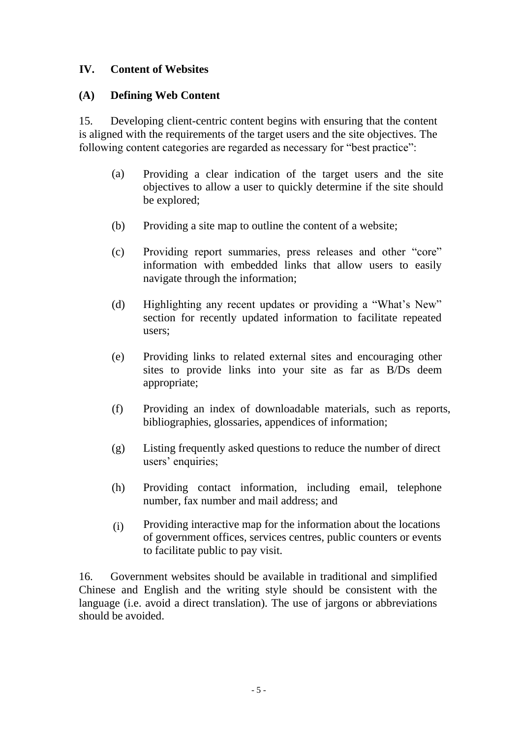## **IV. Content of Websites**

### **(A) Defining Web Content**

15. Developing client-centric content begins with ensuring that the content is aligned with the requirements of the target users and the site objectives. The following content categories are regarded as necessary for "best practice":

- (a) Providing a clear indication of the target users and the site objectives to allow a user to quickly determine if the site should be explored;
- (b) Providing a site map to outline the content of a website;
- (c) Providing report summaries, press releases and other "core" information with embedded links that allow users to easily navigate through the information;
- (d) Highlighting any recent updates or providing a "What's New" section for recently updated information to facilitate repeated users;
- (e) Providing links to related external sites and encouraging other sites to provide links into your site as far as B/Ds deem appropriate;
- (f) Providing an index of downloadable materials, such as reports, bibliographies, glossaries, appendices of information;
- (g) Listing frequently asked questions to reduce the number of direct users' enquiries;
- (h) Providing contact information, including email, telephone number, fax number and mail address; and
- (i) Providing interactive map for the information about the locations of government offices, services centres, public counters or events to facilitate public to pay visit.

16. Government websites should be available in traditional and simplified Chinese and English and the writing style should be consistent with the language (i.e. avoid a direct translation). The use of jargons or abbreviations should be avoided.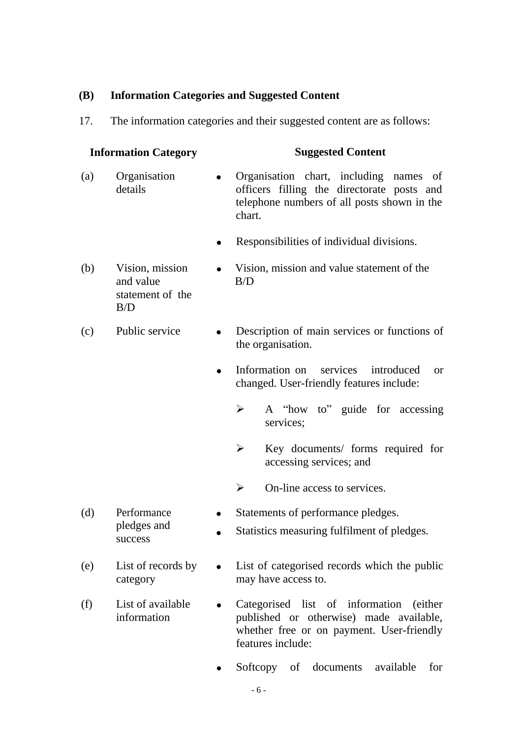### **(B) Information Categories and Suggested Content**

B/D

success

17. The information categories and their suggested content are as follows:

# **Information Category Suggested Content** (a) Organisation • Organisation chart, including names of details of officers filling the directorate posts and officers filling the directorate posts and telephone numbers of all posts shown in the chart.

- Responsibilities of individual divisions.
- (b) Vision, mission Vision, mission and value statement of the and value B/D statement of the
- (c) Public service Description of main services or functions of the organisation.
	- Information on services introduced or changed. User-friendly features include:
		- $\triangleright$  A "how to" guide for accessing services;
		- $\triangleright$  Key documents/ forms required for accessing services; and
		- $\triangleright$  On-line access to services.
- (d) Performance Statements of performance pledges.
	- pledges and Statistics measuring fulfilment of pledges.
- (e) List of records by List of categorised records which the public category may have access to.
- (f) List of available Categorised list of information (either information published or otherwise) made available, whether free or on payment. User-friendly features include:
	- Softcopy of documents available for
		- 6 -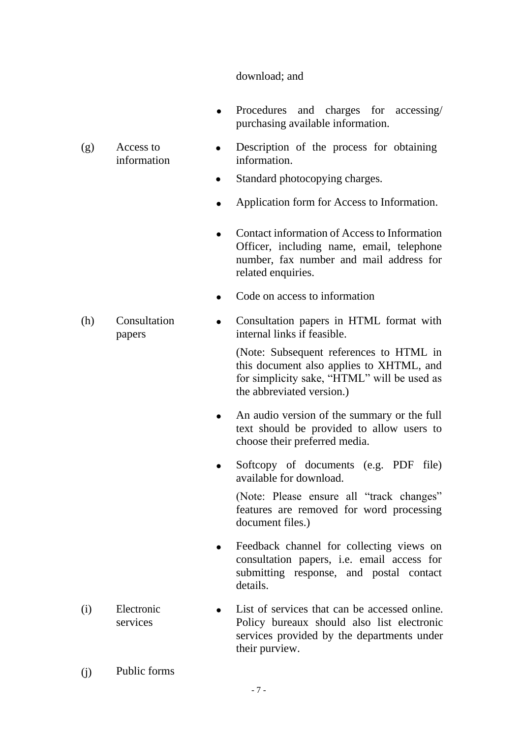#### download; and

• Procedures and charges for accessing/ purchasing available information.

#### (g) Access to information

(h) Consultation papers

- $\bullet$ Description of the process for obtaining information.
- $\bullet$ Standard photocopying charges.
- Application form for Access to Information.
- Contact information of Access to Information Officer, including name, email, telephone number, fax number and mail address for related enquiries.
- Code on access to information
- Consultation papers in HTML format with internal links if feasible.

(Note: Subsequent references to HTML in this document also applies to XHTML, and for simplicity sake, "HTML" will be used as the abbreviated version.)

- An audio version of the summary or the full text should be provided to allow users to choose their preferred media.
- Softcopy of documents (e.g. PDF file) available for download.

(Note: Please ensure all "track changes" features are removed for word processing document files.)

- Feedback channel for collecting views on consultation papers, i.e. email access for submitting response, and postal contact details.
- (i) Electronic services List of services that can be accessed online. Policy bureaux should also list electronic services provided by the departments under their purview.
- (j) Public forms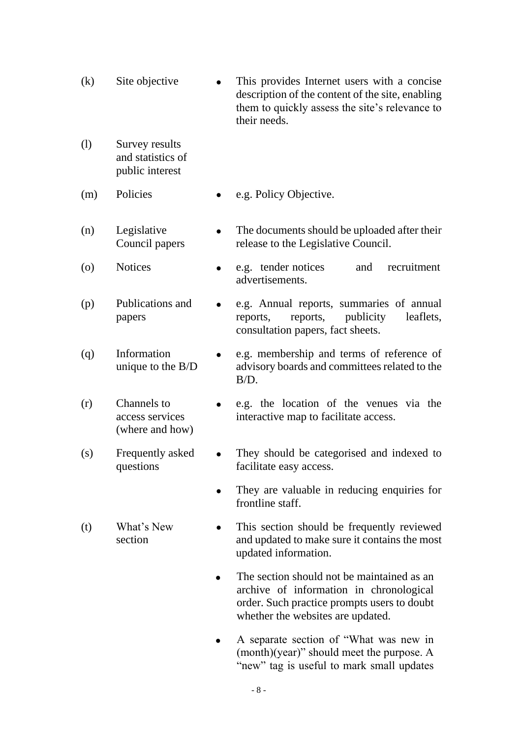- (k) Site objective This provides Internet users with a concise description of the content of the site, enabling them to quickly assess the site's relevance to their needs.
- (l) Survey results and statistics of public interest
- (m) Policies e.g. Policy Objective.
- (n) Legislative Council papers
- (o) Notices e.g. tender notices and recruitment advertisements.

release to the Legislative Council.

The documents should be uploaded after their

- (p) Publications and papers e.g. Annual reports, summaries of annual reports, reports, publicity leaflets, consultation papers, fact sheets.
- (q) Information unique to the B/D e.g. membership and terms of reference of advisory boards and committees related to the B/D.
- (r) Channels to access services (where and how) e.g. the location of the venues via the interactive map to facilitate access.
- (s) Frequently asked questions
- They should be categorised and indexed to facilitate easy access.
- They are valuable in reducing enquiries for frontline staff.
- (t) What's New section • This section should be frequently reviewed and updated to make sure it contains the most updated information.
	- The section should not be maintained as an archive of information in chronological order. Such practice prompts users to doubt whether the websites are updated.
	- A separate section of "What was new in (month)(year)" should meet the purpose. A "new" tag is useful to mark small updates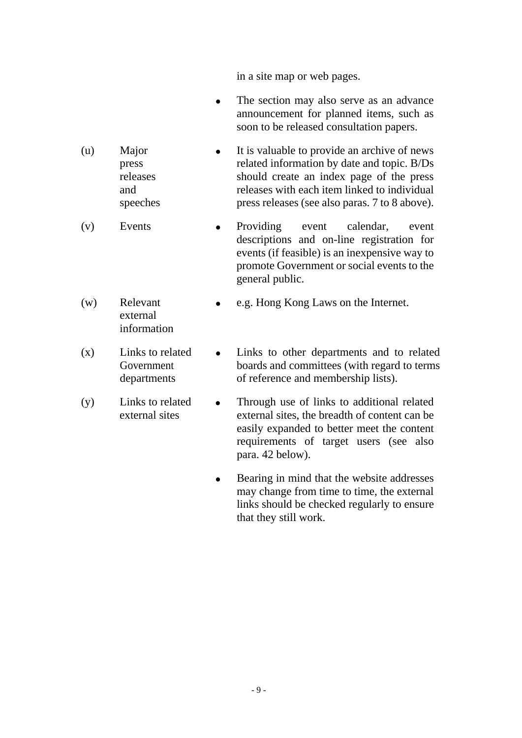in a site map or web pages.

- The section may also serve as an advance announcement for planned items, such as soon to be released consultation papers.
- (u) Major press releases and speeches • It is valuable to provide an archive of news related information by date and topic. B/Ds should create an index page of the press releases with each item linked to individual press releases (see also paras. 7 to 8 above).
- (v) Events Providing event calendar, event descriptions and on-line registration for events (if feasible) is an inexpensive way to promote Government or social events to the general public.
- (w) Relevant external information e.g. Hong Kong Laws on the Internet.
- (x) Links to related Government departments Links to other departments and to related boards and committees (with regard to terms of reference and membership lists).
- (y) Links to related external sites • Through use of links to additional related external sites, the breadth of content can be easily expanded to better meet the content requirements of target users (see also para. 42 below).
	- Bearing in mind that the website addresses may change from time to time, the external links should be checked regularly to ensure that they still work.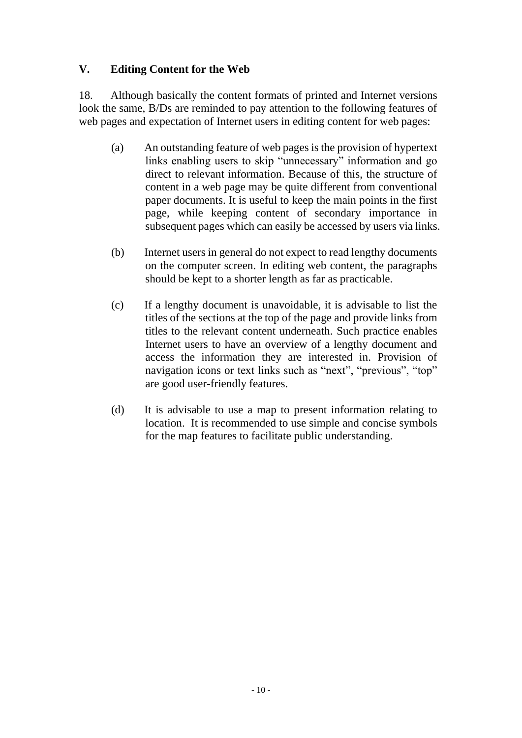## **V. Editing Content for the Web**

18. Although basically the content formats of printed and Internet versions look the same, B/Ds are reminded to pay attention to the following features of web pages and expectation of Internet users in editing content for web pages:

- (a) An outstanding feature of web pages is the provision of hypertext links enabling users to skip "unnecessary" information and go direct to relevant information. Because of this, the structure of content in a web page may be quite different from conventional paper documents. It is useful to keep the main points in the first page, while keeping content of secondary importance in subsequent pages which can easily be accessed by users via links.
- (b) Internet users in general do not expect to read lengthy documents on the computer screen. In editing web content, the paragraphs should be kept to a shorter length as far as practicable.
- (c) If a lengthy document is unavoidable, it is advisable to list the titles of the sections at the top of the page and provide links from titles to the relevant content underneath. Such practice enables Internet users to have an overview of a lengthy document and access the information they are interested in. Provision of navigation icons or text links such as "next", "previous", "top" are good user-friendly features.
- (d) It is advisable to use a map to present information relating to location. It is recommended to use simple and concise symbols for the map features to facilitate public understanding.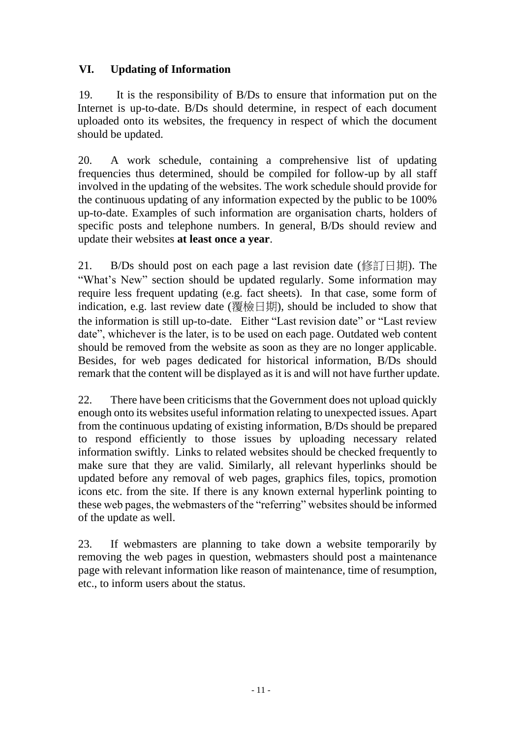## **VI. Updating of Information**

19. It is the responsibility of B/Ds to ensure that information put on the Internet is up-to-date. B/Ds should determine, in respect of each document uploaded onto its websites, the frequency in respect of which the document should be updated.

20. A work schedule, containing a comprehensive list of updating frequencies thus determined, should be compiled for follow-up by all staff involved in the updating of the websites. The work schedule should provide for the continuous updating of any information expected by the public to be 100% up-to-date. Examples of such information are organisation charts, holders of specific posts and telephone numbers. In general, B/Ds should review and update their websites **at least once a year**.

21. B/Ds should post on each page a last revision date (修訂日期). The "What's New" section should be updated regularly. Some information may require less frequent updating (e.g. fact sheets). In that case, some form of indication, e.g. last review date (覆檢日期), should be included to show that the information is still up-to-date. Either "Last revision date" or "Last review date", whichever is the later, is to be used on each page. Outdated web content should be removed from the website as soon as they are no longer applicable. Besides, for web pages dedicated for historical information, B/Ds should remark that the content will be displayed as it is and will not have further update.

22. There have been criticisms that the Government does not upload quickly enough onto its websites useful information relating to unexpected issues. Apart from the continuous updating of existing information, B/Ds should be prepared to respond efficiently to those issues by uploading necessary related information swiftly. Links to related websites should be checked frequently to make sure that they are valid. Similarly, all relevant hyperlinks should be updated before any removal of web pages, graphics files, topics, promotion icons etc. from the site. If there is any known external hyperlink pointing to these web pages, the webmasters of the "referring" websites should be informed of the update as well.

23. If webmasters are planning to take down a website temporarily by removing the web pages in question, webmasters should post a maintenance page with relevant information like reason of maintenance, time of resumption, etc., to inform users about the status.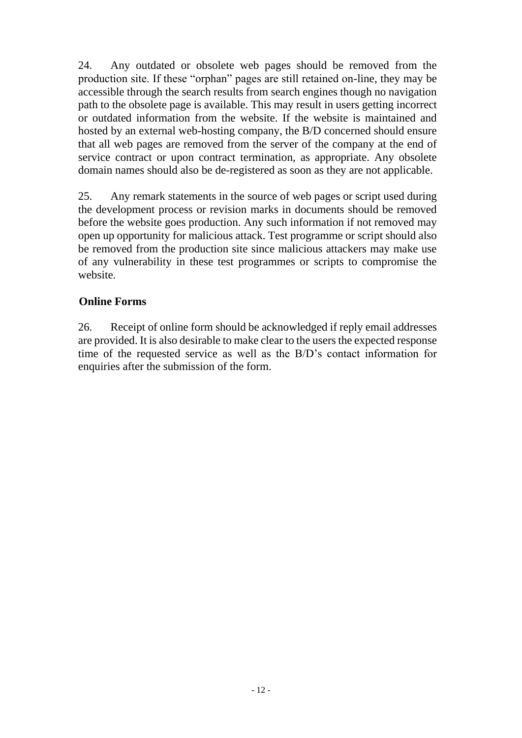24. Any outdated or obsolete web pages should be removed from the production site. If these "orphan" pages are still retained on-line, they may be accessible through the search results from search engines though no navigation path to the obsolete page is available. This may result in users getting incorrect or outdated information from the website. If the website is maintained and hosted by an external web-hosting company, the B/D concerned should ensure that all web pages are removed from the server of the company at the end of service contract or upon contract termination, as appropriate. Any obsolete domain names should also be de-registered as soon as they are not applicable.

25. Any remark statements in the source of web pages or script used during the development process or revision marks in documents should be removed before the website goes production. Any such information if not removed may open up opportunity for malicious attack. Test programme or script should also be removed from the production site since malicious attackers may make use of any vulnerability in these test programmes or scripts to compromise the website.

## **Online Forms**

26. Receipt of online form should be acknowledged if reply email addresses are provided. It is also desirable to make clear to the users the expected response time of the requested service as well as the B/D's contact information for enquiries after the submission of the form.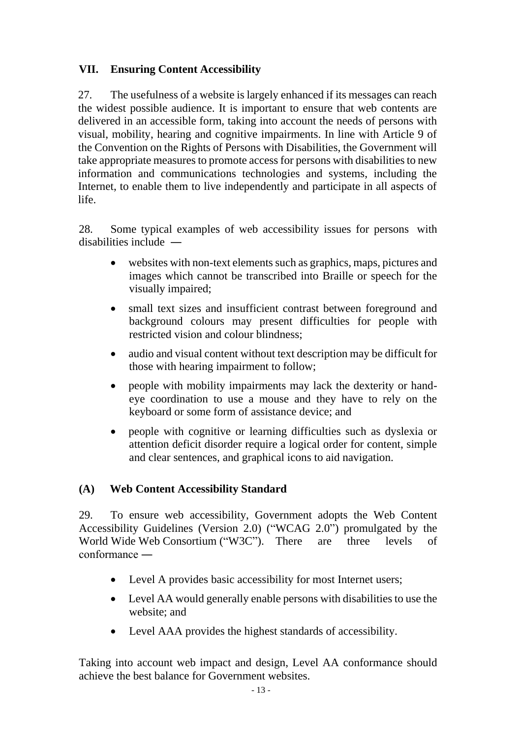## **VII. Ensuring Content Accessibility**

27. The usefulness of a website is largely enhanced if its messages can reach the widest possible audience. It is important to ensure that web contents are delivered in an accessible form, taking into account the needs of persons with visual, mobility, hearing and cognitive impairments. In line with Article 9 of the Convention on the Rights of Persons with Disabilities, the Government will take appropriate measures to promote access for persons with disabilities to new information and communications technologies and systems, including the Internet, to enable them to live independently and participate in all aspects of life.

28. Some typical examples of web accessibility issues for persons with disabilities include ―

- websites with non-text elements such as graphics, maps, pictures and images which cannot be transcribed into Braille or speech for the visually impaired;
- small text sizes and insufficient contrast between foreground and background colours may present difficulties for people with restricted vision and colour blindness;
- audio and visual content without text description may be difficult for those with hearing impairment to follow;
- people with mobility impairments may lack the dexterity or handeye coordination to use a mouse and they have to rely on the keyboard or some form of assistance device; and
- people with cognitive or learning difficulties such as dyslexia or attention deficit disorder require a logical order for content, simple and clear sentences, and graphical icons to aid navigation.

## **(A) Web Content Accessibility Standard**

29. To ensure web accessibility, Government adopts the Web Content Accessibility Guidelines (Version 2.0) ("WCAG 2.0") promulgated by the World Wide Web Consortium ("W3C"). There are three levels of conformance ―

- Level A provides basic accessibility for most Internet users;
- Level AA would generally enable persons with disabilities to use the website; and
- Level AAA provides the highest standards of accessibility.

Taking into account web impact and design, Level AA conformance should achieve the best balance for Government websites.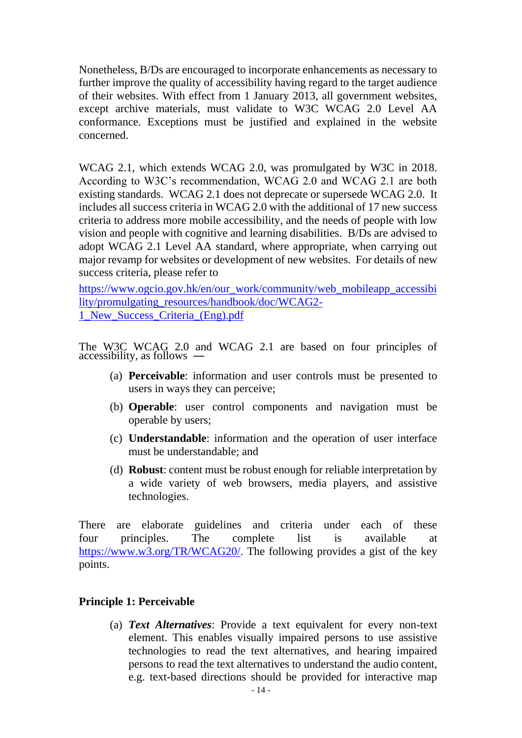Nonetheless, B/Ds are encouraged to incorporate enhancements as necessary to further improve the quality of accessibility having regard to the target audience of their websites. With effect from 1 January 2013, all government websites, except archive materials, must validate to W3C WCAG 2.0 Level AA conformance. Exceptions must be justified and explained in the website concerned.

WCAG 2.1, which extends WCAG 2.0, was promulgated by W3C in 2018. According to W3C's recommendation, WCAG 2.0 and WCAG 2.1 are both existing standards. WCAG 2.1 does not deprecate or supersede WCAG 2.0. It includes all success criteria in WCAG 2.0 with the additional of 17 new success criteria to address more mobile accessibility, and the needs of people with low vision and people with cognitive and learning disabilities. B/Ds are advised to adopt WCAG 2.1 Level AA standard, where appropriate, when carrying out major revamp for websites or development of new websites. For details of new success criteria, please refer to

[https://www.ogcio.gov.hk/en/our\\_work/community/web\\_mobileapp\\_accessibi](https://www.ogcio.gov.hk/en/our_work/community/web_mobileapp_accessibility/promulgating_resources/handbook/doc/WCAG2-1_New_Success_Criteria_(Eng).pdf) [lity/promulgating\\_resources/handbook/doc/WCAG2-](https://www.ogcio.gov.hk/en/our_work/community/web_mobileapp_accessibility/promulgating_resources/handbook/doc/WCAG2-1_New_Success_Criteria_(Eng).pdf) [1\\_New\\_Success\\_Criteria\\_\(Eng\).pdf](https://www.ogcio.gov.hk/en/our_work/community/web_mobileapp_accessibility/promulgating_resources/handbook/doc/WCAG2-1_New_Success_Criteria_(Eng).pdf)

The W3C WCAG 2.0 and WCAG 2.1 are based on four principles of accessibility, as follows ―

- (a) **Perceivable**: information and user controls must be presented to users in ways they can perceive;
- (b) **Operable**: user control components and navigation must be operable by users;
- (c) **Understandable**: information and the operation of user interface must be understandable; and
- (d) **Robust**: content must be robust enough for reliable interpretation by a wide variety of web browsers, media players, and assistive technologies.

There are elaborate guidelines and criteria under each of these four principles. The complete list is available at [https://www.w3.org/TR/WCAG20/.](https://www.w3.org/TR/WCAG20/) The following provides a gist of the key points.

### **Principle 1: Perceivable**

(a) *Text Alternatives*: Provide a text equivalent for every non-text element. This enables visually impaired persons to use assistive technologies to read the text alternatives, and hearing impaired persons to read the text alternatives to understand the audio content, e.g. text-based directions should be provided for interactive map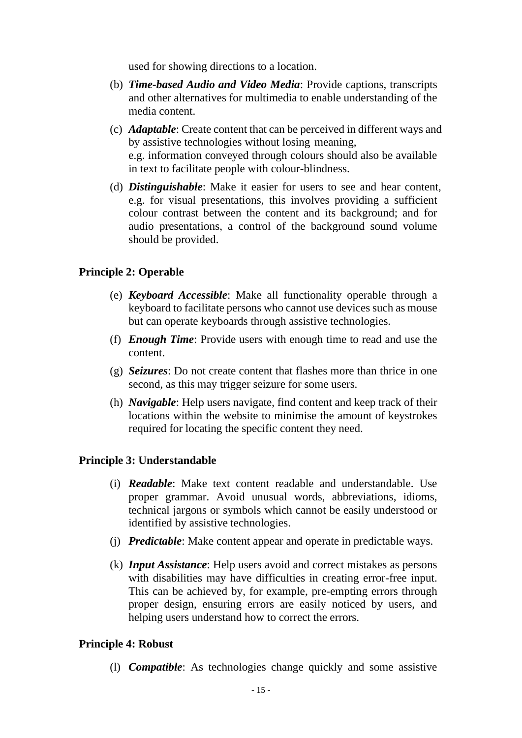used for showing directions to a location.

- (b) *Time-based Audio and Video Media*: Provide captions, transcripts and other alternatives for multimedia to enable understanding of the media content.
- (c) *Adaptable*: Create content that can be perceived in different ways and by assistive technologies without losing meaning, e.g. information conveyed through colours should also be available in text to facilitate people with colour-blindness.
- (d) *Distinguishable*: Make it easier for users to see and hear content, e.g. for visual presentations, this involves providing a sufficient colour contrast between the content and its background; and for audio presentations, a control of the background sound volume should be provided.

### **Principle 2: Operable**

- (e) *Keyboard Accessible*: Make all functionality operable through a keyboard to facilitate persons who cannot use devices such as mouse but can operate keyboards through assistive technologies.
- (f) *Enough Time*: Provide users with enough time to read and use the content.
- (g) *Seizures*: Do not create content that flashes more than thrice in one second, as this may trigger seizure for some users.
- (h) *Navigable*: Help users navigate, find content and keep track of their locations within the website to minimise the amount of keystrokes required for locating the specific content they need.

### **Principle 3: Understandable**

- (i) *Readable*: Make text content readable and understandable. Use proper grammar. Avoid unusual words, abbreviations, idioms, technical jargons or symbols which cannot be easily understood or identified by assistive technologies.
- (j) *Predictable*: Make content appear and operate in predictable ways.
- (k) *Input Assistance*: Help users avoid and correct mistakes as persons with disabilities may have difficulties in creating error-free input. This can be achieved by, for example, pre-empting errors through proper design, ensuring errors are easily noticed by users, and helping users understand how to correct the errors.

#### **Principle 4: Robust**

(l) *Compatible*: As technologies change quickly and some assistive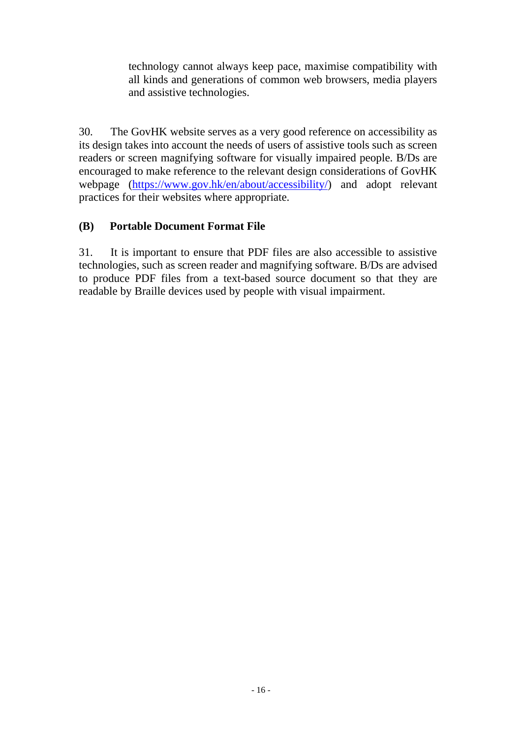technology cannot always keep pace, maximise compatibility with all kinds and generations of common web browsers, media players and assistive technologies.

30. The GovHK website serves as a very good reference on accessibility as its design takes into account the needs of users of assistive tools such as screen readers or screen magnifying software for visually impaired people. B/Ds are encouraged to make reference to the relevant design considerations of GovHK webpage [\(https://www.gov.hk/en/about/accessibility/\)](https://www.gov.hk/en/about/accessibility/) and adopt relevant practices for their websites where appropriate.

## **(B) Portable Document Format File**

31. It is important to ensure that PDF files are also accessible to assistive technologies, such as screen reader and magnifying software. B/Ds are advised to produce PDF files from a text-based source document so that they are readable by Braille devices used by people with visual impairment.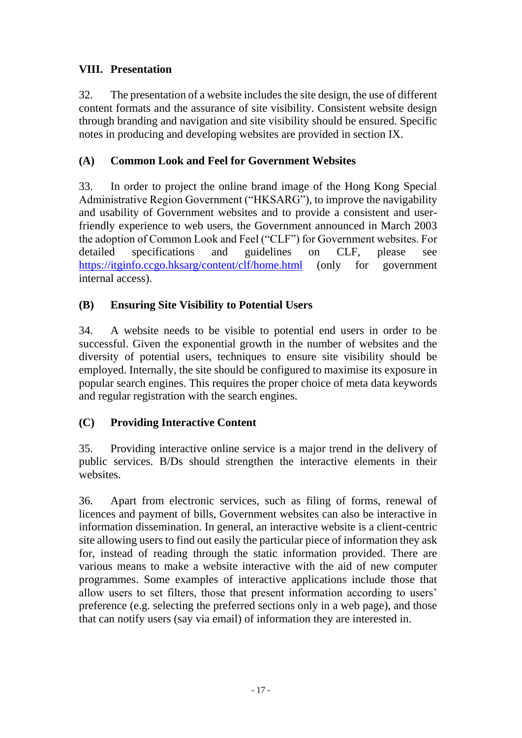## **VIII. Presentation**

32. The presentation of a website includes the site design, the use of different content formats and the assurance of site visibility. Consistent website design through branding and navigation and site visibility should be ensured. Specific notes in producing and developing websites are provided in section IX.

## **(A) Common Look and Feel for Government Websites**

33. In order to project the online brand image of the Hong Kong Special Administrative Region Government ("HKSARG"), to improve the navigability and usability of Government websites and to provide a consistent and userfriendly experience to web users, the Government announced in March 2003 the adoption of Common Look and Feel ("CLF") for Government websites. For detailed specifications and guidelines on CLF, please see <https://itginfo.ccgo.hksarg/content/clf/home.html> (only for government internal access).

## **(B) Ensuring Site Visibility to Potential Users**

34. A website needs to be visible to potential end users in order to be successful. Given the exponential growth in the number of websites and the diversity of potential users, techniques to ensure site visibility should be employed. Internally, the site should be configured to maximise its exposure in popular search engines. This requires the proper choice of meta data keywords and regular registration with the search engines.

## **(C) Providing Interactive Content**

35. Providing interactive online service is a major trend in the delivery of public services. B/Ds should strengthen the interactive elements in their websites.

36. Apart from electronic services, such as filing of forms, renewal of licences and payment of bills, Government websites can also be interactive in information dissemination. In general, an interactive website is a client-centric site allowing users to find out easily the particular piece of information they ask for, instead of reading through the static information provided. There are various means to make a website interactive with the aid of new computer programmes. Some examples of interactive applications include those that allow users to set filters, those that present information according to users' preference (e.g. selecting the preferred sections only in a web page), and those that can notify users (say via email) of information they are interested in.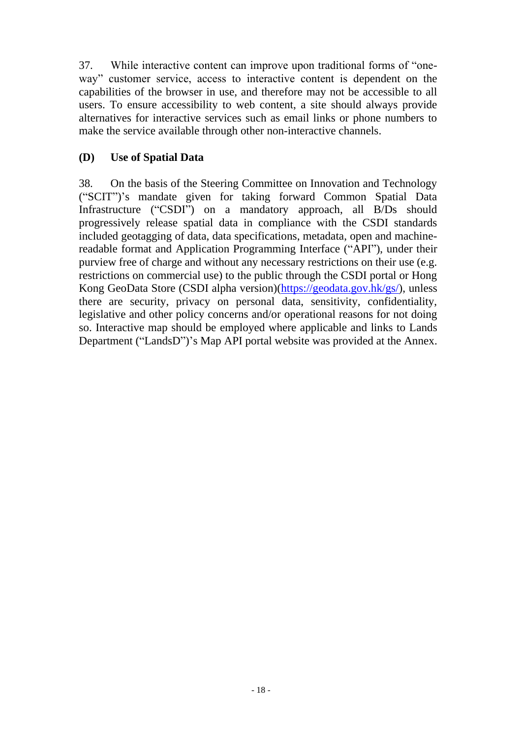37. While interactive content can improve upon traditional forms of "oneway" customer service, access to interactive content is dependent on the capabilities of the browser in use, and therefore may not be accessible to all users. To ensure accessibility to web content, a site should always provide alternatives for interactive services such as email links or phone numbers to make the service available through other non-interactive channels.

## **(D) Use of Spatial Data**

38. On the basis of the Steering Committee on Innovation and Technology ("SCIT")'s mandate given for taking forward Common Spatial Data Infrastructure ("CSDI") on a mandatory approach, all B/Ds should progressively release spatial data in compliance with the CSDI standards included geotagging of data, data specifications, metadata, open and machinereadable format and Application Programming Interface ("API"), under their purview free of charge and without any necessary restrictions on their use (e.g. restrictions on commercial use) to the public through the CSDI portal or Hong Kong GeoData Store (CSDI alpha version)[\(https://geodata.gov.hk/gs/\)](https://geodata.gov.hk/gs/), unless there are security, privacy on personal data, sensitivity, confidentiality, legislative and other policy concerns and/or operational reasons for not doing so. Interactive map should be employed where applicable and links to Lands Department ("LandsD")'s Map API portal website was provided at the Annex.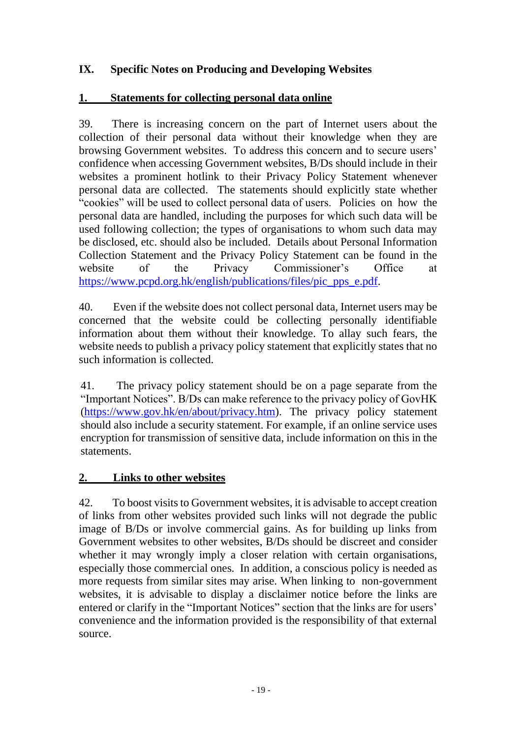## **IX. Specific Notes on Producing and Developing Websites**

### **1. Statements for collecting personal data online**

39. There is increasing concern on the part of Internet users about the collection of their personal data without their knowledge when they are browsing Government websites. To address this concern and to secure users' confidence when accessing Government websites, B/Ds should include in their websites a prominent hotlink to their Privacy Policy Statement whenever personal data are collected. The statements should explicitly state whether "cookies" will be used to collect personal data of users. Policies on how the personal data are handled, including the purposes for which such data will be used following collection; the types of organisations to whom such data may be disclosed, etc. should also be included. Details about Personal Information Collection Statement and the Privacy Policy Statement can be found in the website of the Privacy Commissioner's Office at [https://www.pcpd.org.hk/english/publications/files/pic\\_pps\\_e.pdf.](https://www.pcpd.org.hk/english/publications/files/pic_pps_e.pdf)

40. Even if the website does not collect personal data, Internet users may be concerned that the website could be collecting personally identifiable information about them without their knowledge. To allay such fears, the website needs to publish a privacy policy statement that explicitly states that no such information is collected.

41. The privacy policy statement should be on a page separate from the "Important Notices". B/Ds can make reference to the privacy policy of GovHK [\(https://www.gov.hk/en/about/privacy.htm\)](https://www.gov.hk/en/about/privacy.htm). The privacy policy statement should also include a security statement. For example, if an online service uses encryption for transmission of sensitive data, include information on this in the statements.

## **2. Links to other websites**

42. To boost visits to Government websites, it is advisable to accept creation of links from other websites provided such links will not degrade the public image of B/Ds or involve commercial gains. As for building up links from Government websites to other websites, B/Ds should be discreet and consider whether it may wrongly imply a closer relation with certain organisations, especially those commercial ones. In addition, a conscious policy is needed as more requests from similar sites may arise. When linking to non-government websites, it is advisable to display a disclaimer notice before the links are entered or clarify in the "Important Notices" section that the links are for users' convenience and the information provided is the responsibility of that external source.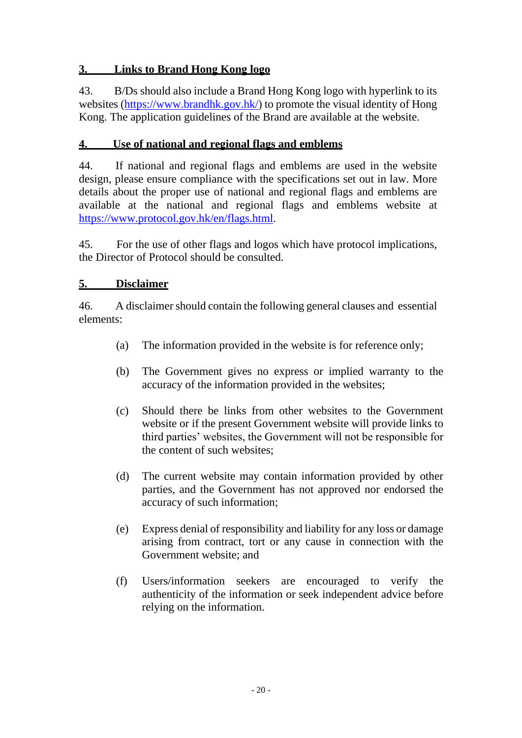## **3. Links to Brand Hong Kong logo**

43. B/Ds should also include a Brand Hong Kong logo with hyperlink to its websites [\(https://www.brandhk.gov.hk/\)](https://www.brandhk.gov.hk/) to promote the visual identity of Hong Kong. The application guidelines of the Brand are available at the website.

## **4. Use of national and regional flags and emblems**

44. If national and regional flags and emblems are used in the website design, please ensure compliance with the specifications set out in law. More details about the proper use of national and regional flags and emblems are available at the national and regional flags and emblems website at [https://www.protocol.gov.hk/en/flags.html.](https://www.protocol.gov.hk/en/flags.html)

45. For the use of other flags and logos which have protocol implications, the Director of Protocol should be consulted.

### **5. Disclaimer**

46. A disclaimer should contain the following general clauses and essential elements:

- (a) The information provided in the website is for reference only;
- (b) The Government gives no express or implied warranty to the accuracy of the information provided in the websites;
- (c) Should there be links from other websites to the Government website or if the present Government website will provide links to third parties' websites, the Government will not be responsible for the content of such websites;
- (d) The current website may contain information provided by other parties, and the Government has not approved nor endorsed the accuracy of such information;
- (e) Express denial of responsibility and liability for any loss or damage arising from contract, tort or any cause in connection with the Government website; and
- (f) Users/information seekers are encouraged to verify the authenticity of the information or seek independent advice before relying on the information.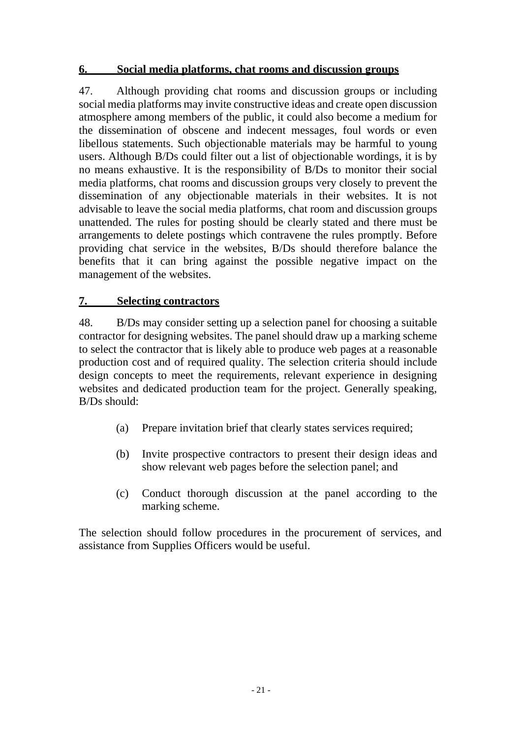## **6. Social media platforms, chat rooms and discussion groups**

47. Although providing chat rooms and discussion groups or including social media platforms may invite constructive ideas and create open discussion atmosphere among members of the public, it could also become a medium for the dissemination of obscene and indecent messages, foul words or even libellous statements. Such objectionable materials may be harmful to young users. Although B/Ds could filter out a list of objectionable wordings, it is by no means exhaustive. It is the responsibility of B/Ds to monitor their social media platforms, chat rooms and discussion groups very closely to prevent the dissemination of any objectionable materials in their websites. It is not advisable to leave the social media platforms, chat room and discussion groups unattended. The rules for posting should be clearly stated and there must be arrangements to delete postings which contravene the rules promptly. Before providing chat service in the websites, B/Ds should therefore balance the benefits that it can bring against the possible negative impact on the management of the websites.

#### **7. Selecting contractors**

48. B/Ds may consider setting up a selection panel for choosing a suitable contractor for designing websites. The panel should draw up a marking scheme to select the contractor that is likely able to produce web pages at a reasonable production cost and of required quality. The selection criteria should include design concepts to meet the requirements, relevant experience in designing websites and dedicated production team for the project. Generally speaking, B/Ds should:

- (a) Prepare invitation brief that clearly states services required;
- (b) Invite prospective contractors to present their design ideas and show relevant web pages before the selection panel; and
- (c) Conduct thorough discussion at the panel according to the marking scheme.

The selection should follow procedures in the procurement of services, and assistance from Supplies Officers would be useful.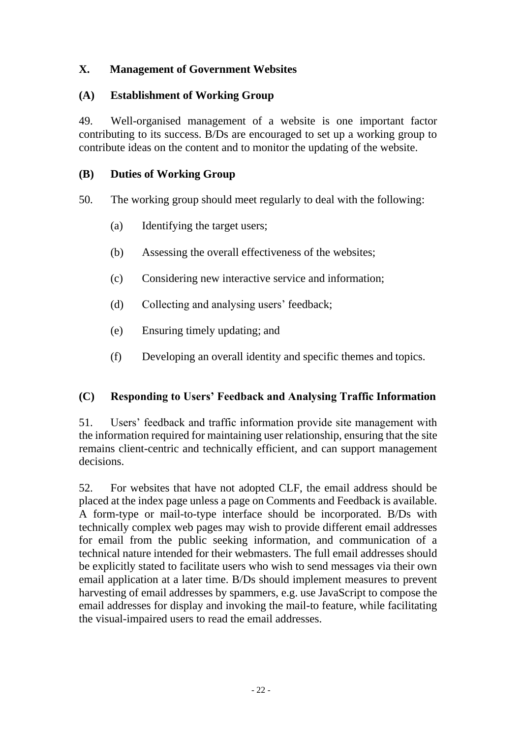## **X. Management of Government Websites**

## **(A) Establishment of Working Group**

49. Well-organised management of a website is one important factor contributing to its success. B/Ds are encouraged to set up a working group to contribute ideas on the content and to monitor the updating of the website.

## **(B) Duties of Working Group**

50. The working group should meet regularly to deal with the following:

- (a) Identifying the target users;
- (b) Assessing the overall effectiveness of the websites;
- (c) Considering new interactive service and information;
- (d) Collecting and analysing users' feedback;
- (e) Ensuring timely updating; and
- (f) Developing an overall identity and specific themes and topics.

## **(C) Responding to Users' Feedback and Analysing Traffic Information**

51. Users' feedback and traffic information provide site management with the information required for maintaining user relationship, ensuring that the site remains client-centric and technically efficient, and can support management decisions.

52. For websites that have not adopted CLF, the email address should be placed at the index page unless a page on Comments and Feedback is available. A form-type or mail-to-type interface should be incorporated. B/Ds with technically complex web pages may wish to provide different email addresses for email from the public seeking information, and communication of a technical nature intended for their webmasters. The full email addresses should be explicitly stated to facilitate users who wish to send messages via their own email application at a later time. B/Ds should implement measures to prevent harvesting of email addresses by spammers, e.g. use JavaScript to compose the email addresses for display and invoking the mail-to feature, while facilitating the visual-impaired users to read the email addresses.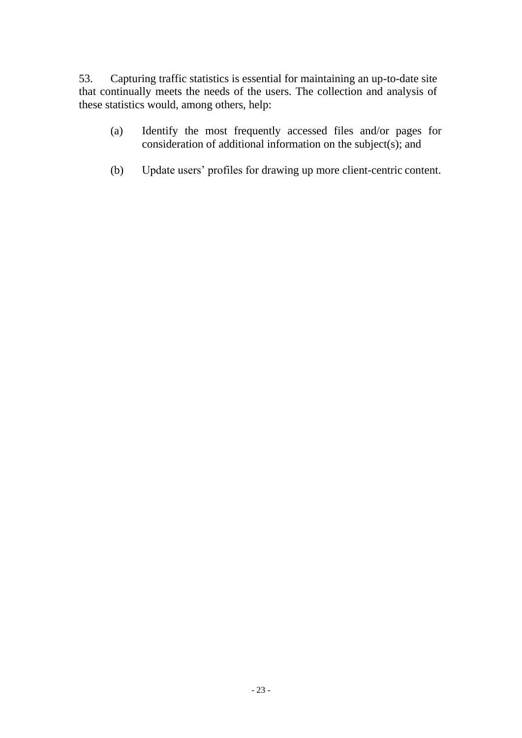53. Capturing traffic statistics is essential for maintaining an up-to-date site that continually meets the needs of the users. The collection and analysis of these statistics would, among others, help:

- (a) Identify the most frequently accessed files and/or pages for consideration of additional information on the subject(s); and
- (b) Update users' profiles for drawing up more client-centric content.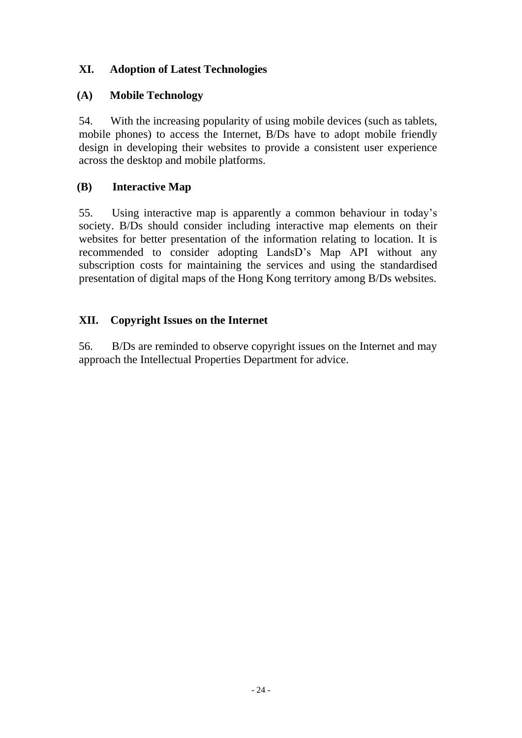## **XI. Adoption of Latest Technologies**

## **(A) Mobile Technology**

54. With the increasing popularity of using mobile devices (such as tablets, mobile phones) to access the Internet, B/Ds have to adopt mobile friendly design in developing their websites to provide a consistent user experience across the desktop and mobile platforms.

## **(B) Interactive Map**

55. Using interactive map is apparently a common behaviour in today's society. B/Ds should consider including interactive map elements on their websites for better presentation of the information relating to location. It is recommended to consider adopting LandsD's Map API without any subscription costs for maintaining the services and using the standardised presentation of digital maps of the Hong Kong territory among B/Ds websites.

## **XII. Copyright Issues on the Internet**

56. B/Ds are reminded to observe copyright issues on the Internet and may approach the Intellectual Properties Department for advice.